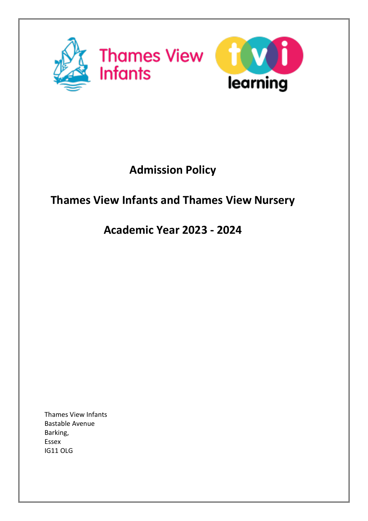

# **Admission Policy**

## **Thames View Infants and Thames View Nursery**

## **Academic Year 2023 - 2024**

Thames View Infants Bastable Avenue Barking, Essex IG11 OLG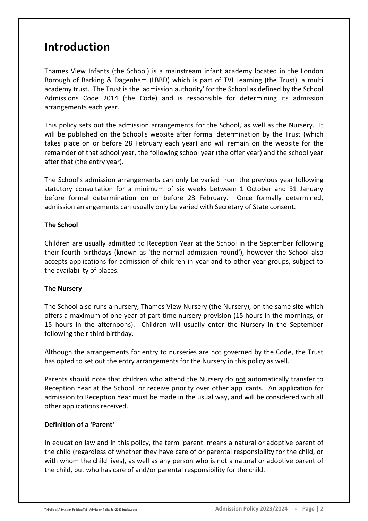## **Introduction**

Thames View Infants (the School) is a mainstream infant academy located in the London Borough of Barking & Dagenham (LBBD) which is part of TVI Learning (the Trust), a multi academy trust. The Trust is the 'admission authority' for the School as defined by the School Admissions Code 2014 (the Code) and is responsible for determining its admission arrangements each year.

This policy sets out the admission arrangements for the School, as well as the Nursery. It will be published on the School's website after formal determination by the Trust (which takes place on or before 28 February each year) and will remain on the website for the remainder of that school year, the following school year (the offer year) and the school year after that (the entry year).

The School's admission arrangements can only be varied from the previous year following statutory consultation for a minimum of six weeks between 1 October and 31 January before formal determination on or before 28 February. Once formally determined, admission arrangements can usually only be varied with Secretary of State consent.

## **The School**

Children are usually admitted to Reception Year at the School in the September following their fourth birthdays (known as 'the normal admission round'), however the School also accepts applications for admission of children in-year and to other year groups, subject to the availability of places.

## **The Nursery**

The School also runs a nursery, Thames View Nursery (the Nursery), on the same site which offers a maximum of one year of part-time nursery provision (15 hours in the mornings, or 15 hours in the afternoons). Children will usually enter the Nursery in the September following their third birthday.

Although the arrangements for entry to nurseries are not governed by the Code, the Trust has opted to set out the entry arrangements for the Nursery in this policy as well.

Parents should note that children who attend the Nursery do not automatically transfer to Reception Year at the School, or receive priority over other applicants. An application for admission to Reception Year must be made in the usual way, and will be considered with all other applications received.

## **Definition of a 'Parent'**

In education law and in this policy, the term 'parent' means a natural or adoptive parent of the child (regardless of whether they have care of or parental responsibility for the child, or with whom the child lives), as well as any person who is not a natural or adoptive parent of the child, but who has care of and/or parental responsibility for the child.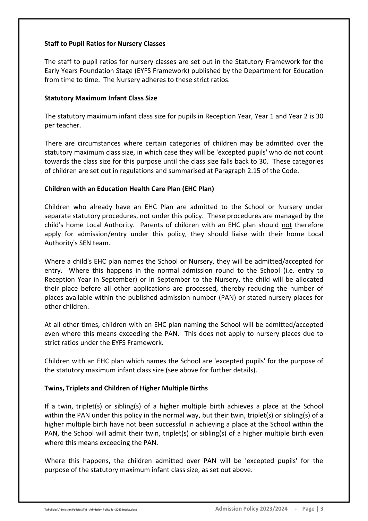## **Staff to Pupil Ratios for Nursery Classes**

The staff to pupil ratios for nursery classes are set out in the Statutory Framework for the Early Years Foundation Stage (EYFS Framework) published by the Department for Education from time to time. The Nursery adheres to these strict ratios.

#### **Statutory Maximum Infant Class Size**

The statutory maximum infant class size for pupils in Reception Year, Year 1 and Year 2 is 30 per teacher.

There are circumstances where certain categories of children may be admitted over the statutory maximum class size, in which case they will be 'excepted pupils' who do not count towards the class size for this purpose until the class size falls back to 30. These categories of children are set out in regulations and summarised at Paragraph 2.15 of the Code.

## **Children with an Education Health Care Plan (EHC Plan)**

Children who already have an EHC Plan are admitted to the School or Nursery under separate statutory procedures, not under this policy. These procedures are managed by the child's home Local Authority. Parents of children with an EHC plan should not therefore apply for admission/entry under this policy, they should liaise with their home Local Authority's SEN team.

Where a child's EHC plan names the School or Nursery, they will be admitted/accepted for entry. Where this happens in the normal admission round to the School (i.e. entry to Reception Year in September) or in September to the Nursery, the child will be allocated their place before all other applications are processed, thereby reducing the number of places available within the published admission number (PAN) or stated nursery places for other children.

At all other times, children with an EHC plan naming the School will be admitted/accepted even where this means exceeding the PAN. This does not apply to nursery places due to strict ratios under the EYFS Framework.

Children with an EHC plan which names the School are 'excepted pupils' for the purpose of the statutory maximum infant class size (see above for further details).

## **Twins, Triplets and Children of Higher Multiple Births**

If a twin, triplet(s) or sibling(s) of a higher multiple birth achieves a place at the School within the PAN under this policy in the normal way, but their twin, triplet(s) or sibling(s) of a higher multiple birth have not been successful in achieving a place at the School within the PAN, the School will admit their twin, triplet(s) or sibling(s) of a higher multiple birth even where this means exceeding the PAN.

Where this happens, the children admitted over PAN will be 'excepted pupils' for the purpose of the statutory maximum infant class size, as set out above.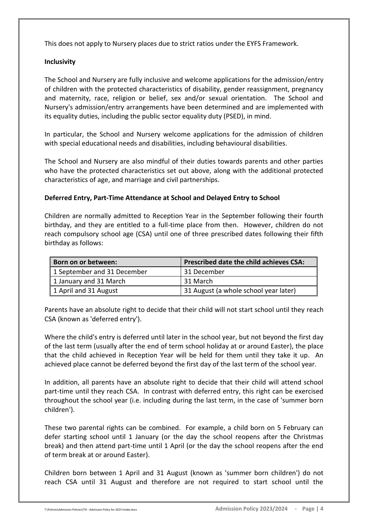This does not apply to Nursery places due to strict ratios under the EYFS Framework.

## **Inclusivity**

The School and Nursery are fully inclusive and welcome applications for the admission/entry of children with the protected characteristics of disability, gender reassignment, pregnancy and maternity, race, religion or belief, sex and/or sexual orientation. The School and Nursery's admission/entry arrangements have been determined and are implemented with its equality duties, including the public sector equality duty (PSED), in mind.

In particular, the School and Nursery welcome applications for the admission of children with special educational needs and disabilities, including behavioural disabilities.

The School and Nursery are also mindful of their duties towards parents and other parties who have the protected characteristics set out above, along with the additional protected characteristics of age, and marriage and civil partnerships.

## **Deferred Entry, Part-Time Attendance at School and Delayed Entry to School**

Children are normally admitted to Reception Year in the September following their fourth birthday, and they are entitled to a full-time place from then. However, children do not reach compulsory school age (CSA) until one of three prescribed dates following their fifth birthday as follows:

| Born on or between:         | <b>Prescribed date the child achieves CSA:</b> |
|-----------------------------|------------------------------------------------|
| 1 September and 31 December | 31 December                                    |
| 1 January and 31 March      | 31 March                                       |
| 1 April and 31 August       | 31 August (a whole school year later)          |

Parents have an absolute right to decide that their child will not start school until they reach CSA (known as 'deferred entry').

Where the child's entry is deferred until later in the school year, but not beyond the first day of the last term (usually after the end of term school holiday at or around Easter), the place that the child achieved in Reception Year will be held for them until they take it up. An achieved place cannot be deferred beyond the first day of the last term of the school year.

In addition, all parents have an absolute right to decide that their child will attend school part-time until they reach CSA. In contrast with deferred entry, this right can be exercised throughout the school year (i.e. including during the last term, in the case of 'summer born children').

These two parental rights can be combined. For example, a child born on 5 February can defer starting school until 1 January (or the day the school reopens after the Christmas break) and then attend part-time until 1 April (or the day the school reopens after the end of term break at or around Easter).

Children born between 1 April and 31 August (known as 'summer born children') do not reach CSA until 31 August and therefore are not required to start school until the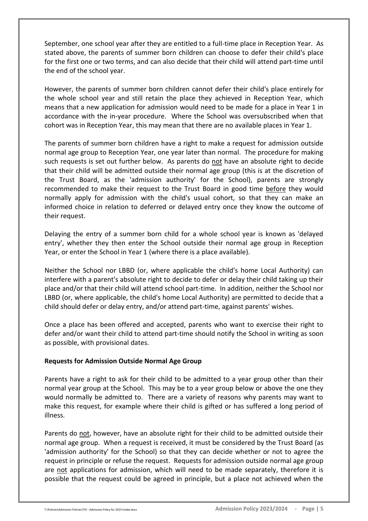September, one school year after they are entitled to a full-time place in Reception Year. As stated above, the parents of summer born children can choose to defer their child's place for the first one or two terms, and can also decide that their child will attend part-time until the end of the school year.

However, the parents of summer born children cannot defer their child's place entirely for the whole school year and still retain the place they achieved in Reception Year, which means that a new application for admission would need to be made for a place in Year 1 in accordance with the in-year procedure. Where the School was oversubscribed when that cohort was in Reception Year, this may mean that there are no available places in Year 1.

The parents of summer born children have a right to make a request for admission outside normal age group to Reception Year, one year later than normal. The procedure for making such requests is set out further below. As parents do not have an absolute right to decide that their child will be admitted outside their normal age group (this is at the discretion of the Trust Board, as the 'admission authority' for the School), parents are strongly recommended to make their request to the Trust Board in good time before they would normally apply for admission with the child's usual cohort, so that they can make an informed choice in relation to deferred or delayed entry once they know the outcome of their request.

Delaying the entry of a summer born child for a whole school year is known as 'delayed entry', whether they then enter the School outside their normal age group in Reception Year, or enter the School in Year 1 (where there is a place available).

Neither the School nor LBBD (or, where applicable the child's home Local Authority) can interfere with a parent's absolute right to decide to defer or delay their child taking up their place and/or that their child will attend school part-time. In addition, neither the School nor LBBD (or, where applicable, the child's home Local Authority) are permitted to decide that a child should defer or delay entry, and/or attend part-time, against parents' wishes.

Once a place has been offered and accepted, parents who want to exercise their right to defer and/or want their child to attend part-time should notify the School in writing as soon as possible, with provisional dates.

#### **Requests for Admission Outside Normal Age Group**

Parents have a right to ask for their child to be admitted to a year group other than their normal year group at the School. This may be to a year group below or above the one they would normally be admitted to. There are a variety of reasons why parents may want to make this request, for example where their child is gifted or has suffered a long period of illness.

Parents do not, however, have an absolute right for their child to be admitted outside their normal age group. When a request is received, it must be considered by the Trust Board (as 'admission authority' for the School) so that they can decide whether or not to agree the request in principle or refuse the request. Requests for admission outside normal age group are not applications for admission, which will need to be made separately, therefore it is possible that the request could be agreed in principle, but a place not achieved when the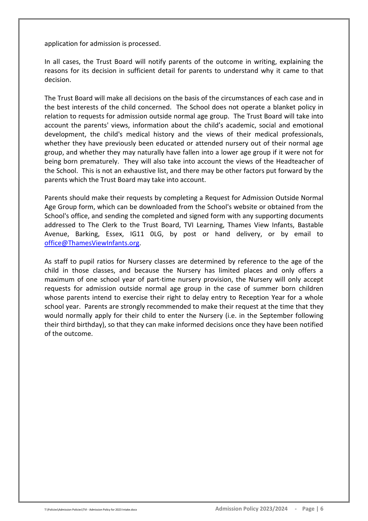application for admission is processed.

In all cases, the Trust Board will notify parents of the outcome in writing, explaining the reasons for its decision in sufficient detail for parents to understand why it came to that decision.

The Trust Board will make all decisions on the basis of the circumstances of each case and in the best interests of the child concerned. The School does not operate a blanket policy in relation to requests for admission outside normal age group. The Trust Board will take into account the parents' views, information about the child's academic, social and emotional development, the child's medical history and the views of their medical professionals, whether they have previously been educated or attended nursery out of their normal age group, and whether they may naturally have fallen into a lower age group if it were not for being born prematurely. They will also take into account the views of the Headteacher of the School. This is not an exhaustive list, and there may be other factors put forward by the parents which the Trust Board may take into account.

Parents should make their requests by completing a Request for Admission Outside Normal Age Group form, which can be downloaded from the School's website or obtained from the School's office, and sending the completed and signed form with any supporting documents addressed to The Clerk to the Trust Board, TVI Learning, Thames View Infants, Bastable Avenue, Barking, Essex, IG11 0LG, by post or hand delivery, or by email to [office@ThamesViewInfants.org.](mailto:office@ThamesViewInfants.org)

As staff to pupil ratios for Nursery classes are determined by reference to the age of the child in those classes, and because the Nursery has limited places and only offers a maximum of one school year of part-time nursery provision, the Nursery will only accept requests for admission outside normal age group in the case of summer born children whose parents intend to exercise their right to delay entry to Reception Year for a whole school year. Parents are strongly recommended to make their request at the time that they would normally apply for their child to enter the Nursery (i.e. in the September following their third birthday), so that they can make informed decisions once they have been notified of the outcome.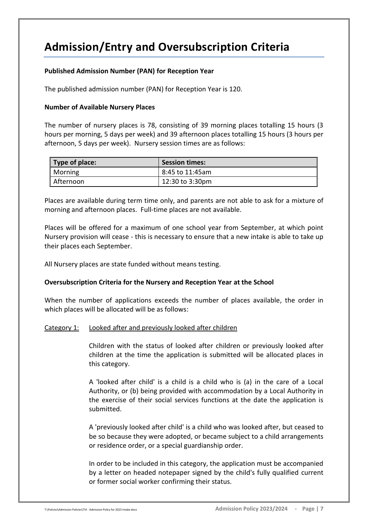## **Admission/Entry and Oversubscription Criteria**

## **Published Admission Number (PAN) for Reception Year**

The published admission number (PAN) for Reception Year is 120.

#### **Number of Available Nursery Places**

The number of nursery places is 78, consisting of 39 morning places totalling 15 hours (3 hours per morning, 5 days per week) and 39 afternoon places totalling 15 hours (3 hours per afternoon, 5 days per week). Nursery session times are as follows:

| Type of place: | <b>Session times:</b> |
|----------------|-----------------------|
| Morning        | 8:45 to 11:45am       |
| Afternoon      | 12:30 to 3:30pm       |

Places are available during term time only, and parents are not able to ask for a mixture of morning and afternoon places. Full-time places are not available.

Places will be offered for a maximum of one school year from September, at which point Nursery provision will cease - this is necessary to ensure that a new intake is able to take up their places each September.

All Nursery places are state funded without means testing.

#### **Oversubscription Criteria for the Nursery and Reception Year at the School**

When the number of applications exceeds the number of places available, the order in which places will be allocated will be as follows:

#### Category 1: Looked after and previously looked after children

Children with the status of looked after children or previously looked after children at the time the application is submitted will be allocated places in this category.

A 'looked after child' is a child is a child who is (a) in the care of a Local Authority, or (b) being provided with accommodation by a Local Authority in the exercise of their social services functions at the date the application is submitted.

A 'previously looked after child' is a child who was looked after, but ceased to be so because they were adopted, or became subject to a child arrangements or residence order, or a special guardianship order.

In order to be included in this category, the application must be accompanied by a letter on headed notepaper signed by the child's fully qualified current or former social worker confirming their status.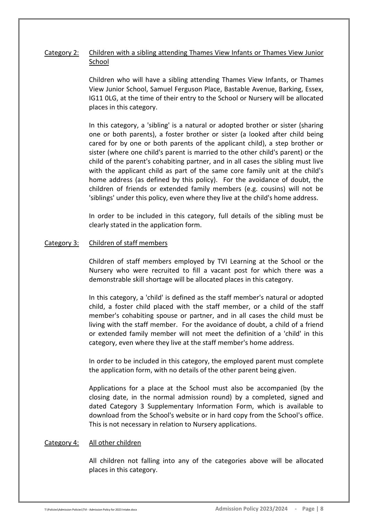## Category 2: Children with a sibling attending Thames View Infants or Thames View Junior School

Children who will have a sibling attending Thames View Infants, or Thames View Junior School, Samuel Ferguson Place, Bastable Avenue, Barking, Essex, IG11 0LG, at the time of their entry to the School or Nursery will be allocated places in this category.

In this category, a 'sibling' is a natural or adopted brother or sister (sharing one or both parents), a foster brother or sister (a looked after child being cared for by one or both parents of the applicant child), a step brother or sister (where one child's parent is married to the other child's parent) or the child of the parent's cohabiting partner, and in all cases the sibling must live with the applicant child as part of the same core family unit at the child's home address (as defined by this policy). For the avoidance of doubt, the children of friends or extended family members (e.g. cousins) will not be 'siblings' under this policy, even where they live at the child's home address.

In order to be included in this category, full details of the sibling must be clearly stated in the application form.

#### Category 3: Children of staff members

Children of staff members employed by TVI Learning at the School or the Nursery who were recruited to fill a vacant post for which there was a demonstrable skill shortage will be allocated places in this category.

In this category, a 'child' is defined as the staff member's natural or adopted child, a foster child placed with the staff member, or a child of the staff member's cohabiting spouse or partner, and in all cases the child must be living with the staff member. For the avoidance of doubt, a child of a friend or extended family member will not meet the definition of a 'child' in this category, even where they live at the staff member's home address.

In order to be included in this category, the employed parent must complete the application form, with no details of the other parent being given.

Applications for a place at the School must also be accompanied (by the closing date, in the normal admission round) by a completed, signed and dated Category 3 Supplementary Information Form, which is available to download from the School's website or in hard copy from the School's office. This is not necessary in relation to Nursery applications.

#### Category 4: All other children

All children not falling into any of the categories above will be allocated places in this category.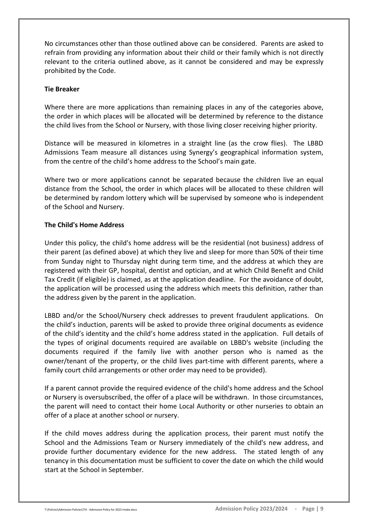No circumstances other than those outlined above can be considered. Parents are asked to refrain from providing any information about their child or their family which is not directly relevant to the criteria outlined above, as it cannot be considered and may be expressly prohibited by the Code.

#### **Tie Breaker**

Where there are more applications than remaining places in any of the categories above, the order in which places will be allocated will be determined by reference to the distance the child lives from the School or Nursery, with those living closer receiving higher priority.

Distance will be measured in kilometres in a straight line (as the crow flies). The LBBD Admissions Team measure all distances using Synergy's geographical information system, from the centre of the child's home address to the School's main gate.

Where two or more applications cannot be separated because the children live an equal distance from the School, the order in which places will be allocated to these children will be determined by random lottery which will be supervised by someone who is independent of the School and Nursery.

## **The Child's Home Address**

Under this policy, the child's home address will be the residential (not business) address of their parent (as defined above) at which they live and sleep for more than 50% of their time from Sunday night to Thursday night during term time, and the address at which they are registered with their GP, hospital, dentist and optician, and at which Child Benefit and Child Tax Credit (if eligible) is claimed, as at the application deadline. For the avoidance of doubt, the application will be processed using the address which meets this definition, rather than the address given by the parent in the application.

LBBD and/or the School/Nursery check addresses to prevent fraudulent applications. On the child's induction, parents will be asked to provide three original documents as evidence of the child's identity and the child's home address stated in the application. Full details of the types of original documents required are available on LBBD's website (including the documents required if the family live with another person who is named as the owner/tenant of the property, or the child lives part-time with different parents, where a family court child arrangements or other order may need to be provided).

If a parent cannot provide the required evidence of the child's home address and the School or Nursery is oversubscribed, the offer of a place will be withdrawn. In those circumstances, the parent will need to contact their home Local Authority or other nurseries to obtain an offer of a place at another school or nursery.

If the child moves address during the application process, their parent must notify the School and the Admissions Team or Nursery immediately of the child's new address, and provide further documentary evidence for the new address. The stated length of any tenancy in this documentation must be sufficient to cover the date on which the child would start at the School in September.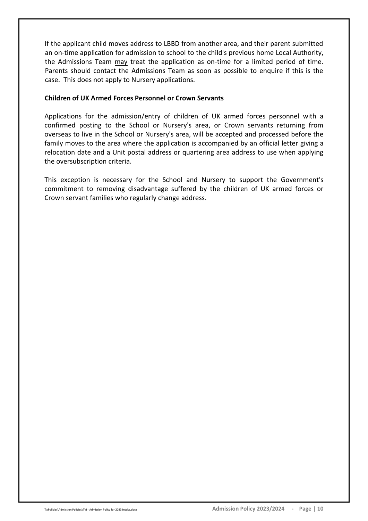If the applicant child moves address to LBBD from another area, and their parent submitted an on-time application for admission to school to the child's previous home Local Authority, the Admissions Team may treat the application as on-time for a limited period of time. Parents should contact the Admissions Team as soon as possible to enquire if this is the case. This does not apply to Nursery applications.

#### **Children of UK Armed Forces Personnel or Crown Servants**

Applications for the admission/entry of children of UK armed forces personnel with a confirmed posting to the School or Nursery's area, or Crown servants returning from overseas to live in the School or Nursery's area, will be accepted and processed before the family moves to the area where the application is accompanied by an official letter giving a relocation date and a Unit postal address or quartering area address to use when applying the oversubscription criteria.

This exception is necessary for the School and Nursery to support the Government's commitment to removing disadvantage suffered by the children of UK armed forces or Crown servant families who regularly change address.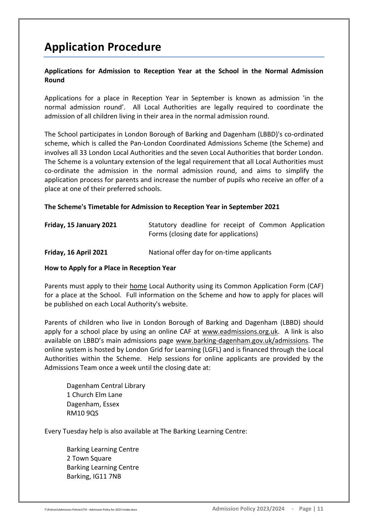## **Application Procedure**

## **Applications for Admission to Reception Year at the School in the Normal Admission Round**

Applications for a place in Reception Year in September is known as admission 'in the normal admission round'. All Local Authorities are legally required to coordinate the admission of all children living in their area in the normal admission round.

The School participates in London Borough of Barking and Dagenham (LBBD)'s co-ordinated scheme, which is called the Pan-London Coordinated Admissions Scheme (the Scheme) and involves all 33 London Local Authorities and the seven Local Authorities that border London. The Scheme is a voluntary extension of the legal requirement that all Local Authorities must co-ordinate the admission in the normal admission round, and aims to simplify the application process for parents and increase the number of pupils who receive an offer of a place at one of their preferred schools.

#### **The Scheme's Timetable for Admission to Reception Year in September 2021**

| Friday, 15 January 2021 | Statutory deadline for receipt of Common Application<br>Forms (closing date for applications) |
|-------------------------|-----------------------------------------------------------------------------------------------|
| Friday, 16 April 2021   | National offer day for on-time applicants                                                     |

#### **How to Apply for a Place in Reception Year**

Parents must apply to their home Local Authority using its Common Application Form (CAF) for a place at the School. Full information on the Scheme and how to apply for places will be published on each Local Authority's website.

Parents of children who live in London Borough of Barking and Dagenham (LBBD) should apply for a school place by using an online CAF at [www.eadmissions.org.uk.](http://www.eadmissions.org.uk/) A link is also available on LBBD's main admissions page [www.barking-dagenham.gov.uk/admissions.](http://www.barking-dagenham.gov.uk/admissions) The online system is hosted by London Grid for Learning (LGFL) and is financed through the Local Authorities within the Scheme. Help sessions for online applicants are provided by the Admissions Team once a week until the closing date at:

Dagenham Central Library 1 Church Elm Lane Dagenham, Essex RM10 9QS

Every Tuesday help is also available at The Barking Learning Centre:

Barking Learning Centre 2 Town Square Barking Learning Centre Barking, IG11 7NB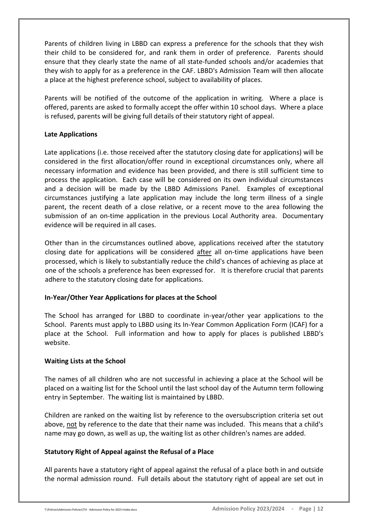Parents of children living in LBBD can express a preference for the schools that they wish their child to be considered for, and rank them in order of preference. Parents should ensure that they clearly state the name of all state-funded schools and/or academies that they wish to apply for as a preference in the CAF. LBBD's Admission Team will then allocate a place at the highest preference school, subject to availability of places.

Parents will be notified of the outcome of the application in writing. Where a place is offered, parents are asked to formally accept the offer within 10 school days. Where a place is refused, parents will be giving full details of their statutory right of appeal.

#### **Late Applications**

Late applications (i.e. those received after the statutory closing date for applications) will be considered in the first allocation/offer round in exceptional circumstances only, where all necessary information and evidence has been provided, and there is still sufficient time to process the application. Each case will be considered on its own individual circumstances and a decision will be made by the LBBD Admissions Panel. Examples of exceptional circumstances justifying a late application may include the long term illness of a single parent, the recent death of a close relative, or a recent move to the area following the submission of an on-time application in the previous Local Authority area. Documentary evidence will be required in all cases.

Other than in the circumstances outlined above, applications received after the statutory closing date for applications will be considered after all on-time applications have been processed, which is likely to substantially reduce the child's chances of achieving as place at one of the schools a preference has been expressed for. It is therefore crucial that parents adhere to the statutory closing date for applications.

## **In-Year/Other Year Applications for places at the School**

The School has arranged for LBBD to coordinate in-year/other year applications to the School. Parents must apply to LBBD using its In-Year Common Application Form (ICAF) for a place at the School. Full information and how to apply for places is published LBBD's website.

#### **Waiting Lists at the School**

The names of all children who are not successful in achieving a place at the School will be placed on a waiting list for the School until the last school day of the Autumn term following entry in September. The waiting list is maintained by LBBD.

Children are ranked on the waiting list by reference to the oversubscription criteria set out above, not by reference to the date that their name was included. This means that a child's name may go down, as well as up, the waiting list as other children's names are added.

## **Statutory Right of Appeal against the Refusal of a Place**

All parents have a statutory right of appeal against the refusal of a place both in and outside the normal admission round. Full details about the statutory right of appeal are set out in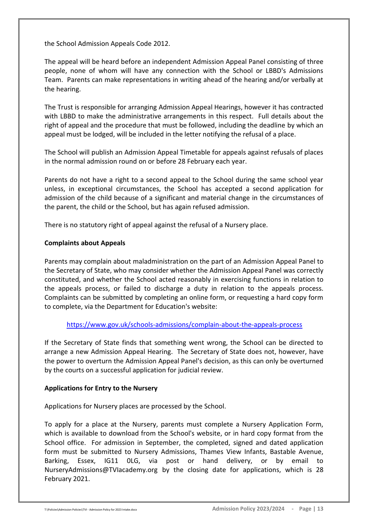the School Admission Appeals Code 2012.

The appeal will be heard before an independent Admission Appeal Panel consisting of three people, none of whom will have any connection with the School or LBBD's Admissions Team. Parents can make representations in writing ahead of the hearing and/or verbally at the hearing.

The Trust is responsible for arranging Admission Appeal Hearings, however it has contracted with LBBD to make the administrative arrangements in this respect. Full details about the right of appeal and the procedure that must be followed, including the deadline by which an appeal must be lodged, will be included in the letter notifying the refusal of a place.

The School will publish an Admission Appeal Timetable for appeals against refusals of places in the normal admission round on or before 28 February each year.

Parents do not have a right to a second appeal to the School during the same school year unless, in exceptional circumstances, the School has accepted a second application for admission of the child because of a significant and material change in the circumstances of the parent, the child or the School, but has again refused admission.

There is no statutory right of appeal against the refusal of a Nursery place.

## **Complaints about Appeals**

Parents may complain about maladministration on the part of an Admission Appeal Panel to the Secretary of State, who may consider whether the Admission Appeal Panel was correctly constituted, and whether the School acted reasonably in exercising functions in relation to the appeals process, or failed to discharge a duty in relation to the appeals process. Complaints can be submitted by completing an online form, or requesting a hard copy form to complete, via the Department for Education's website:

#### <https://www.gov.uk/schools-admissions/complain-about-the-appeals-process>

If the Secretary of State finds that something went wrong, the School can be directed to arrange a new Admission Appeal Hearing. The Secretary of State does not, however, have the power to overturn the Admission Appeal Panel's decision, as this can only be overturned by the courts on a successful application for judicial review.

#### **Applications for Entry to the Nursery**

Applications for Nursery places are processed by the School.

To apply for a place at the Nursery, parents must complete a Nursery Application Form, which is available to download from the School's website, or in hard copy format from the School office. For admission in September, the completed, signed and dated application form must be submitted to Nursery Admissions, Thames View Infants, Bastable Avenue, Barking, Essex, IG11 0LG, via post or hand delivery, or by email to NurseryAdmissions@TVIacademy.org by the closing date for applications, which is 28 February 2021.